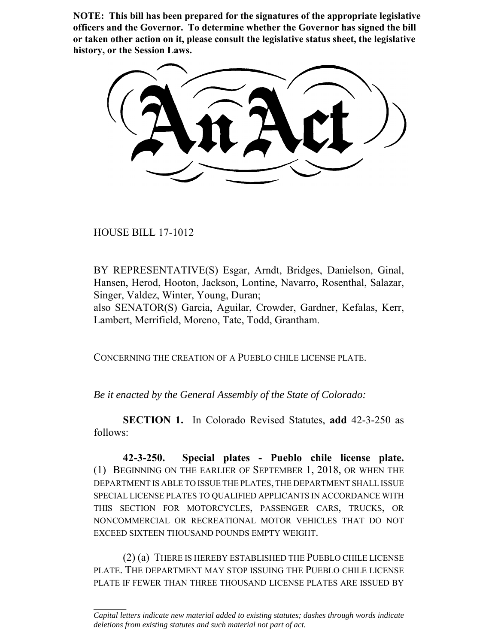**NOTE: This bill has been prepared for the signatures of the appropriate legislative officers and the Governor. To determine whether the Governor has signed the bill or taken other action on it, please consult the legislative status sheet, the legislative history, or the Session Laws.**

HOUSE BILL 17-1012

 $\frac{1}{2}$ 

BY REPRESENTATIVE(S) Esgar, Arndt, Bridges, Danielson, Ginal, Hansen, Herod, Hooton, Jackson, Lontine, Navarro, Rosenthal, Salazar, Singer, Valdez, Winter, Young, Duran;

also SENATOR(S) Garcia, Aguilar, Crowder, Gardner, Kefalas, Kerr, Lambert, Merrifield, Moreno, Tate, Todd, Grantham.

CONCERNING THE CREATION OF A PUEBLO CHILE LICENSE PLATE.

*Be it enacted by the General Assembly of the State of Colorado:*

**SECTION 1.** In Colorado Revised Statutes, **add** 42-3-250 as follows:

**42-3-250. Special plates - Pueblo chile license plate.** (1) BEGINNING ON THE EARLIER OF SEPTEMBER 1, 2018, OR WHEN THE DEPARTMENT IS ABLE TO ISSUE THE PLATES, THE DEPARTMENT SHALL ISSUE SPECIAL LICENSE PLATES TO QUALIFIED APPLICANTS IN ACCORDANCE WITH THIS SECTION FOR MOTORCYCLES, PASSENGER CARS, TRUCKS, OR NONCOMMERCIAL OR RECREATIONAL MOTOR VEHICLES THAT DO NOT EXCEED SIXTEEN THOUSAND POUNDS EMPTY WEIGHT.

(2) (a) THERE IS HEREBY ESTABLISHED THE PUEBLO CHILE LICENSE PLATE. THE DEPARTMENT MAY STOP ISSUING THE PUEBLO CHILE LICENSE PLATE IF FEWER THAN THREE THOUSAND LICENSE PLATES ARE ISSUED BY

*Capital letters indicate new material added to existing statutes; dashes through words indicate deletions from existing statutes and such material not part of act.*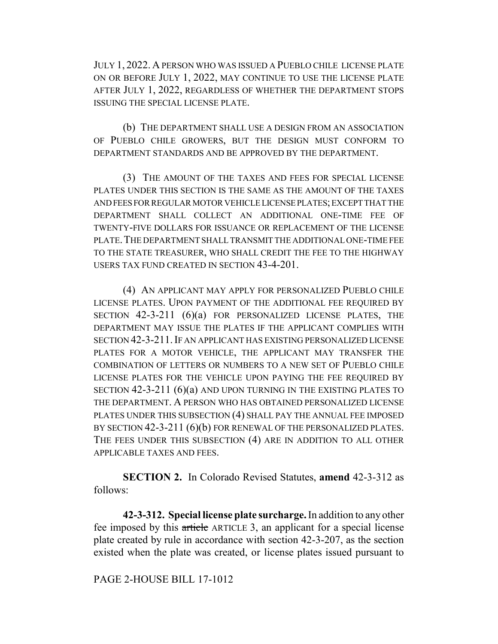JULY 1, 2022. A PERSON WHO WAS ISSUED A PUEBLO CHILE LICENSE PLATE ON OR BEFORE JULY 1, 2022, MAY CONTINUE TO USE THE LICENSE PLATE AFTER JULY 1, 2022, REGARDLESS OF WHETHER THE DEPARTMENT STOPS ISSUING THE SPECIAL LICENSE PLATE.

(b) THE DEPARTMENT SHALL USE A DESIGN FROM AN ASSOCIATION OF PUEBLO CHILE GROWERS, BUT THE DESIGN MUST CONFORM TO DEPARTMENT STANDARDS AND BE APPROVED BY THE DEPARTMENT.

(3) THE AMOUNT OF THE TAXES AND FEES FOR SPECIAL LICENSE PLATES UNDER THIS SECTION IS THE SAME AS THE AMOUNT OF THE TAXES AND FEES FOR REGULAR MOTOR VEHICLE LICENSE PLATES; EXCEPT THAT THE DEPARTMENT SHALL COLLECT AN ADDITIONAL ONE-TIME FEE OF TWENTY-FIVE DOLLARS FOR ISSUANCE OR REPLACEMENT OF THE LICENSE PLATE. THE DEPARTMENT SHALL TRANSMIT THE ADDITIONAL ONE-TIME FEE TO THE STATE TREASURER, WHO SHALL CREDIT THE FEE TO THE HIGHWAY USERS TAX FUND CREATED IN SECTION 43-4-201.

(4) AN APPLICANT MAY APPLY FOR PERSONALIZED PUEBLO CHILE LICENSE PLATES. UPON PAYMENT OF THE ADDITIONAL FEE REQUIRED BY SECTION 42-3-211 (6)(a) FOR PERSONALIZED LICENSE PLATES, THE DEPARTMENT MAY ISSUE THE PLATES IF THE APPLICANT COMPLIES WITH SECTION 42-3-211.IF AN APPLICANT HAS EXISTING PERSONALIZED LICENSE PLATES FOR A MOTOR VEHICLE, THE APPLICANT MAY TRANSFER THE COMBINATION OF LETTERS OR NUMBERS TO A NEW SET OF PUEBLO CHILE LICENSE PLATES FOR THE VEHICLE UPON PAYING THE FEE REQUIRED BY SECTION 42-3-211 (6)(a) AND UPON TURNING IN THE EXISTING PLATES TO THE DEPARTMENT. A PERSON WHO HAS OBTAINED PERSONALIZED LICENSE PLATES UNDER THIS SUBSECTION (4) SHALL PAY THE ANNUAL FEE IMPOSED BY SECTION 42-3-211 (6)(b) FOR RENEWAL OF THE PERSONALIZED PLATES. THE FEES UNDER THIS SUBSECTION (4) ARE IN ADDITION TO ALL OTHER APPLICABLE TAXES AND FEES.

**SECTION 2.** In Colorado Revised Statutes, **amend** 42-3-312 as follows:

**42-3-312. Special license plate surcharge.** In addition to any other fee imposed by this article ARTICLE 3, an applicant for a special license plate created by rule in accordance with section 42-3-207, as the section existed when the plate was created, or license plates issued pursuant to

## PAGE 2-HOUSE BILL 17-1012